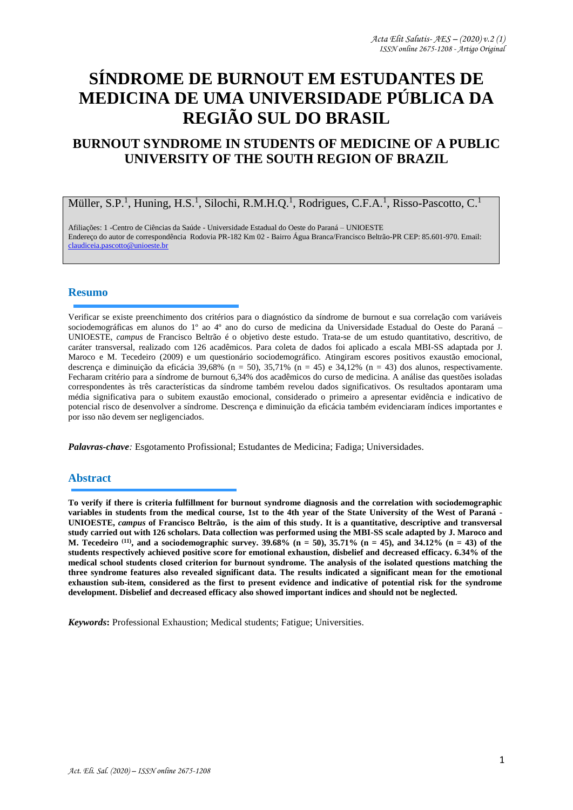# **SÍNDROME DE BURNOUT EM ESTUDANTES DE MEDICINA DE UMA UNIVERSIDADE PÚBLICA DA REGIÃO SUL DO BRASIL**

# **BURNOUT SYNDROME IN STUDENTS OF MEDICINE OF A PUBLIC UNIVERSITY OF THE SOUTH REGION OF BRAZIL**

# Müller, S.P.<sup>1</sup>, Huning, H.S.<sup>1</sup>, Silochi, R.M.H.Q.<sup>1</sup>, Rodrigues, C.F.A.<sup>1</sup>, Risso-Pascotto, C.<sup>1</sup>

Afiliações: 1 -Centro de Ciências da Saúde - Universidade Estadual do Oeste do Paraná – UNIOESTE Endereço do autor de correspondência Rodovia PR-182 Km 02 - Bairro Água Branca/Francisco Beltrão-PR CEP: 85.601-970. Email: [claudiceia.pascotto@unioeste.br](mailto:claudiceia.pascotto@unioeste.br)

#### **Resumo**

Verificar se existe preenchimento dos critérios para o diagnóstico da síndrome de burnout e sua correlação com variáveis sociodemográficas em alunos do 1º ao 4º ano do curso de medicina da Universidade Estadual do Oeste do Paraná – UNIOESTE, *campus* de Francisco Beltrão é o objetivo deste estudo. Trata-se de um estudo quantitativo, descritivo, de caráter transversal, realizado com 126 acadêmicos. Para coleta de dados foi aplicado a escala MBI-SS adaptada por J. Maroco e M. Tecedeiro (2009) e um questionário sociodemográfico. Atingiram escores positivos exaustão emocional, descrença e diminuição da eficácia 39,68% (n = 50), 35,71% (n = 45) e 34,12% (n = 43) dos alunos, respectivamente. Fecharam critério para a síndrome de burnout 6,34% dos acadêmicos do curso de medicina. A análise das questões isoladas correspondentes às três características da síndrome também revelou dados significativos. Os resultados apontaram uma média significativa para o subitem exaustão emocional, considerado o primeiro a apresentar evidência e indicativo de potencial risco de desenvolver a síndrome. Descrença e diminuição da eficácia também evidenciaram índices importantes e por isso não devem ser negligenciados.

*Palavras-chave:* Esgotamento Profissional; Estudantes de Medicina; Fadiga; Universidades.

#### **Abstract**

**To verify if there is criteria fulfillment for burnout syndrome diagnosis and the correlation with sociodemographic variables in students from the medical course, 1st to the 4th year of the State University of the West of Paraná - UNIOESTE,** *campus* **of Francisco Beltrão, is the aim of this study. It is a quantitative, descriptive and transversal study carried out with 126 scholars. Data collection was performed using the MBI-SS scale adapted by J. Maroco and M. Tecedeiro (11), and a sociodemographic survey. 39.68% (n = 50), 35.71% (n = 45), and 34.12% (n = 43) of the students respectively achieved positive score for emotional exhaustion, disbelief and decreased efficacy. 6.34% of the medical school students closed criterion for burnout syndrome. The analysis of the isolated questions matching the three syndrome features also revealed significant data. The results indicated a significant mean for the emotional exhaustion sub-item, considered as the first to present evidence and indicative of potential risk for the syndrome development. Disbelief and decreased efficacy also showed important indices and should not be neglected.**

*Keywords***:** Professional Exhaustion; Medical students; Fatigue; Universities.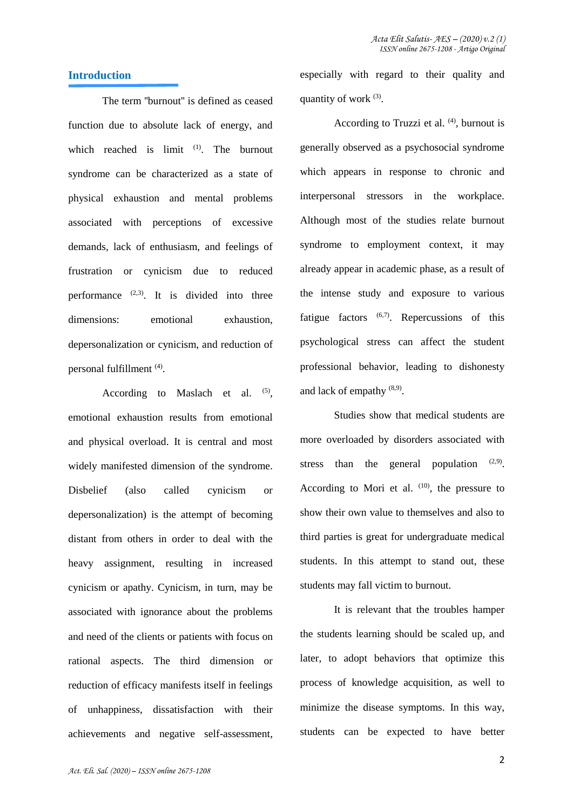# **Introduction**

The term ''burnout'' is defined as ceased function due to absolute lack of energy, and which reached is limit <sup>(1)</sup>. The burnout syndrome can be characterized as a state of physical exhaustion and mental problems associated with perceptions of excessive demands, lack of enthusiasm, and feelings of frustration or cynicism due to reduced performance  $(2,3)$ . It is divided into three dimensions: emotional exhaustion. depersonalization or cynicism, and reduction of personal fulfillment (4) .

According to Maslach et al. (5), emotional exhaustion results from emotional and physical overload. It is central and most widely manifested dimension of the syndrome. Disbelief (also called cynicism or depersonalization) is the attempt of becoming distant from others in order to deal with the heavy assignment, resulting in increased cynicism or apathy. Cynicism, in turn, may be associated with ignorance about the problems and need of the clients or patients with focus on rational aspects. The third dimension or reduction of efficacy manifests itself in feelings of unhappiness, dissatisfaction with their achievements and negative self-assessment,

especially with regard to their quality and quantity of work <sup>(3)</sup>.

According to Truzzi et al.  $(4)$ , burnout is generally observed as a psychosocial syndrome which appears in response to chronic and interpersonal stressors in the workplace. Although most of the studies relate burnout syndrome to employment context, it may already appear in academic phase, as a result of the intense study and exposure to various fatigue factors  $(6,7)$ . Repercussions of this psychological stress can affect the student professional behavior, leading to dishonesty and lack of empathy (8,9) .

Studies show that medical students are more overloaded by disorders associated with stress than the general population  $(2,9)$ . According to Mori et al.  $(10)$ , the pressure to show their own value to themselves and also to third parties is great for undergraduate medical students. In this attempt to stand out, these students may fall victim to burnout.

It is relevant that the troubles hamper the students learning should be scaled up, and later, to adopt behaviors that optimize this process of knowledge acquisition, as well to minimize the disease symptoms. In this way, students can be expected to have better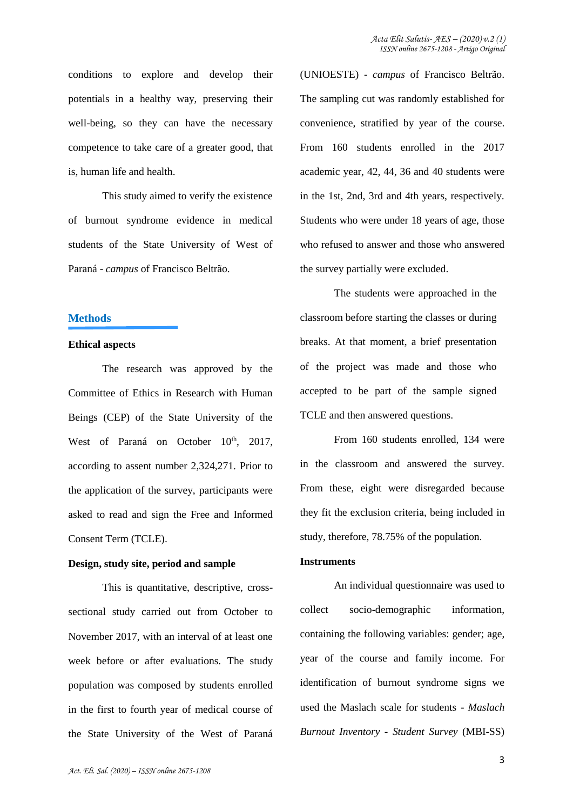conditions to explore and develop their potentials in a healthy way, preserving their well-being, so they can have the necessary competence to take care of a greater good, that is, human life and health.

This study aimed to verify the existence of burnout syndrome evidence in medical students of the State University of West of Paraná - *campus* of Francisco Beltrão.

#### **Methods**

#### **Ethical aspects**

The research was approved by the Committee of Ethics in Research with Human Beings (CEP) of the State University of the West of Paraná on October 10<sup>th</sup>, 2017, according to assent number 2,324,271. Prior to the application of the survey, participants were asked to read and sign the Free and Informed Consent Term (TCLE).

#### **Design, study site, period and sample**

This is quantitative, descriptive, crosssectional study carried out from October to November 2017, with an interval of at least one week before or after evaluations. The study population was composed by students enrolled in the first to fourth year of medical course of the State University of the West of Paraná (UNIOESTE) - *campus* of Francisco Beltrão. The sampling cut was randomly established for convenience, stratified by year of the course. From 160 students enrolled in the 2017 academic year, 42, 44, 36 and 40 students were in the 1st, 2nd, 3rd and 4th years, respectively. Students who were under 18 years of age, those who refused to answer and those who answered the survey partially were excluded.

The students were approached in the classroom before starting the classes or during breaks. At that moment, a brief presentation of the project was made and those who accepted to be part of the sample signed TCLE and then answered questions.

From 160 students enrolled, 134 were in the classroom and answered the survey. From these, eight were disregarded because they fit the exclusion criteria, being included in study, therefore, 78.75% of the population.

#### **Instruments**

An individual questionnaire was used to collect socio-demographic information, containing the following variables: gender; age, year of the course and family income. For identification of burnout syndrome signs we used the Maslach scale for students - *Maslach Burnout Inventory - Student Survey* (MBI-SS)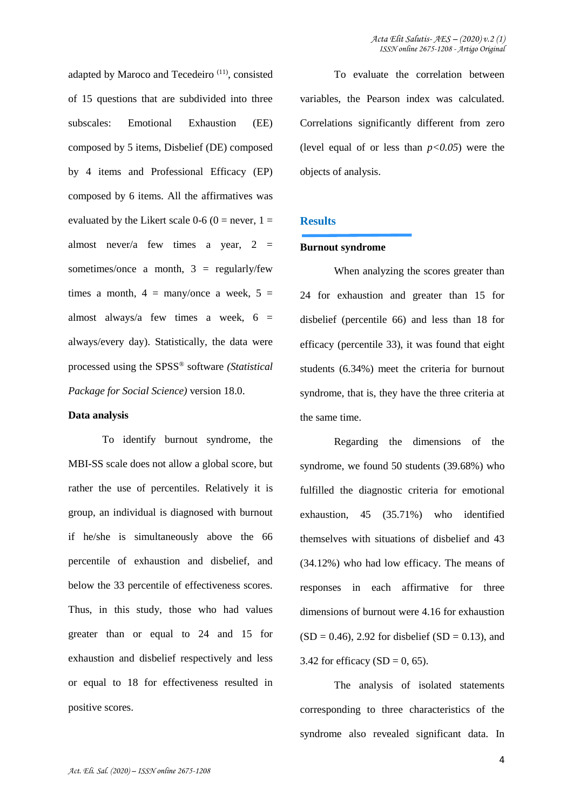adapted by Maroco and Tecedeiro (11), consisted of 15 questions that are subdivided into three subscales: Emotional Exhaustion (EE) composed by 5 items, Disbelief (DE) composed by 4 items and Professional Efficacy (EP) composed by 6 items. All the affirmatives was evaluated by the Likert scale 0-6 (0 = never, 1 = almost never/a few times a year,  $2 =$ sometimes/once a month,  $3 = \text{regularly/few}$ times a month,  $4 = \frac{many}{once}$  a week,  $5 =$ almost always/a few times a week,  $6 =$ always/every day). Statistically, the data were processed using the SPSS® software *(Statistical Package for Social Science)* version 18.0.

#### **Data analysis**

To identify burnout syndrome, the MBI-SS scale does not allow a global score, but rather the use of percentiles. Relatively it is group, an individual is diagnosed with burnout if he/she is simultaneously above the 66 percentile of exhaustion and disbelief, and below the 33 percentile of effectiveness scores. Thus, in this study, those who had values greater than or equal to 24 and 15 for exhaustion and disbelief respectively and less or equal to 18 for effectiveness resulted in positive scores.

To evaluate the correlation between variables, the Pearson index was calculated. Correlations significantly different from zero (level equal of or less than  $p < 0.05$ ) were the objects of analysis.

## **Results**

#### **Burnout syndrome**

When analyzing the scores greater than 24 for exhaustion and greater than 15 for disbelief (percentile 66) and less than 18 for efficacy (percentile 33), it was found that eight students (6.34%) meet the criteria for burnout syndrome, that is, they have the three criteria at the same time.

Regarding the dimensions of the syndrome, we found 50 students (39.68%) who fulfilled the diagnostic criteria for emotional exhaustion, 45 (35.71%) who identified themselves with situations of disbelief and 43 (34.12%) who had low efficacy. The means of responses in each affirmative for three dimensions of burnout were 4.16 for exhaustion  $(SD = 0.46)$ , 2.92 for disbelief  $(SD = 0.13)$ , and 3.42 for efficacy  $(SD = 0, 65)$ .

The analysis of isolated statements corresponding to three characteristics of the syndrome also revealed significant data. In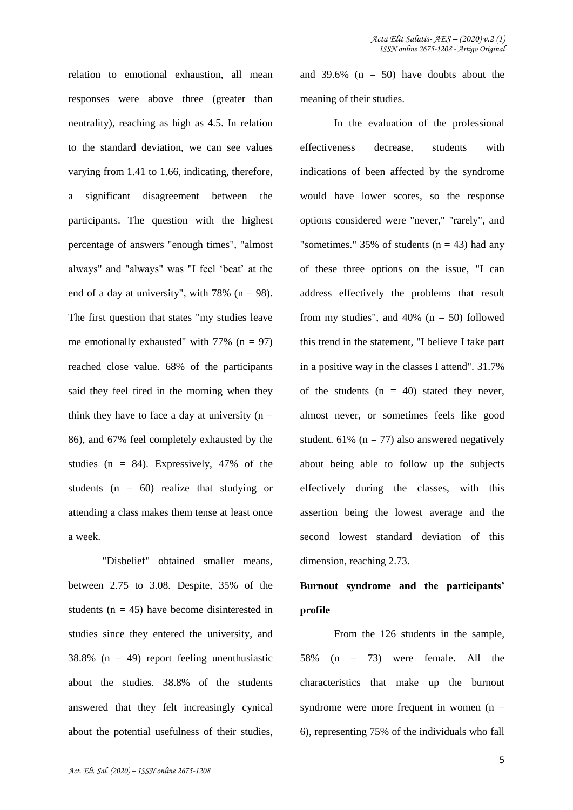relation to emotional exhaustion, all mean responses were above three (greater than neutrality), reaching as high as 4.5. In relation to the standard deviation, we can see values varying from 1.41 to 1.66, indicating, therefore, a significant disagreement between the participants. The question with the highest percentage of answers "enough times", "almost always" and "always" was "I feel 'beat' at the end of a day at university", with  $78\%$  (n = 98). The first question that states "my studies leave me emotionally exhausted" with  $77\%$  (n = 97) reached close value. 68% of the participants said they feel tired in the morning when they think they have to face a day at university  $(n =$ 86), and 67% feel completely exhausted by the studies ( $n = 84$ ). Expressively, 47% of the students  $(n = 60)$  realize that studying or attending a class makes them tense at least once a week.

"Disbelief" obtained smaller means, between 2.75 to 3.08. Despite, 35% of the students ( $n = 45$ ) have become disinterested in studies since they entered the university, and  $38.8\%$  (n = 49) report feeling unenthusiastic about the studies. 38.8% of the students answered that they felt increasingly cynical about the potential usefulness of their studies, and 39.6%  $(n = 50)$  have doubts about the meaning of their studies.

In the evaluation of the professional effectiveness decrease, students with indications of been affected by the syndrome would have lower scores, so the response options considered were "never," "rarely", and "sometimes." 35% of students  $(n = 43)$  had any of these three options on the issue, "I can address effectively the problems that result from my studies", and  $40\%$  (n = 50) followed this trend in the statement, "I believe I take part in a positive way in the classes I attend". 31.7% of the students  $(n = 40)$  stated they never, almost never, or sometimes feels like good student. 61% ( $n = 77$ ) also answered negatively about being able to follow up the subjects effectively during the classes, with this assertion being the lowest average and the second lowest standard deviation of this dimension, reaching 2.73.

**Burnout syndrome and the participants' profile** 

From the 126 students in the sample, 58% (n = 73) were female. All the characteristics that make up the burnout syndrome were more frequent in women  $(n =$ 6), representing 75% of the individuals who fall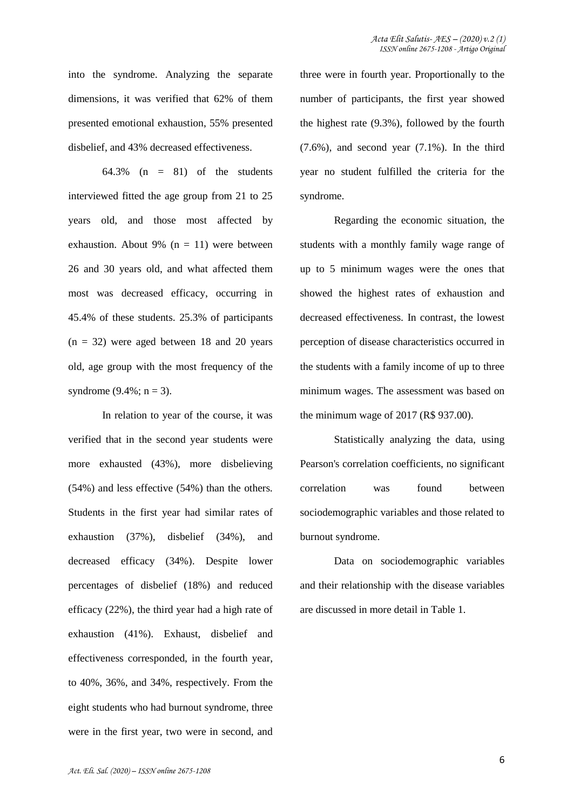into the syndrome. Analyzing the separate dimensions, it was verified that 62% of them presented emotional exhaustion, 55% presented disbelief, and 43% decreased effectiveness.

64.3% ( $n = 81$ ) of the students interviewed fitted the age group from 21 to 25 years old, and those most affected by exhaustion. About 9% ( $n = 11$ ) were between 26 and 30 years old, and what affected them most was decreased efficacy, occurring in 45.4% of these students. 25.3% of participants  $(n = 32)$  were aged between 18 and 20 years old, age group with the most frequency of the syndrome  $(9.4\%; n = 3)$ .

In relation to year of the course, it was verified that in the second year students were more exhausted (43%), more disbelieving (54%) and less effective (54%) than the others. Students in the first year had similar rates of exhaustion (37%), disbelief (34%), and decreased efficacy (34%). Despite lower percentages of disbelief (18%) and reduced efficacy (22%), the third year had a high rate of exhaustion (41%). Exhaust, disbelief and effectiveness corresponded, in the fourth year, to 40%, 36%, and 34%, respectively. From the eight students who had burnout syndrome, three were in the first year, two were in second, and three were in fourth year. Proportionally to the number of participants, the first year showed the highest rate (9.3%), followed by the fourth (7.6%), and second year (7.1%). In the third year no student fulfilled the criteria for the syndrome.

Regarding the economic situation, the students with a monthly family wage range of up to 5 minimum wages were the ones that showed the highest rates of exhaustion and decreased effectiveness. In contrast, the lowest perception of disease characteristics occurred in the students with a family income of up to three minimum wages. The assessment was based on the minimum wage of 2017 (R\$ 937.00).

Statistically analyzing the data, using Pearson's correlation coefficients, no significant correlation was found between sociodemographic variables and those related to burnout syndrome.

Data on sociodemographic variables and their relationship with the disease variables are discussed in more detail in Table 1.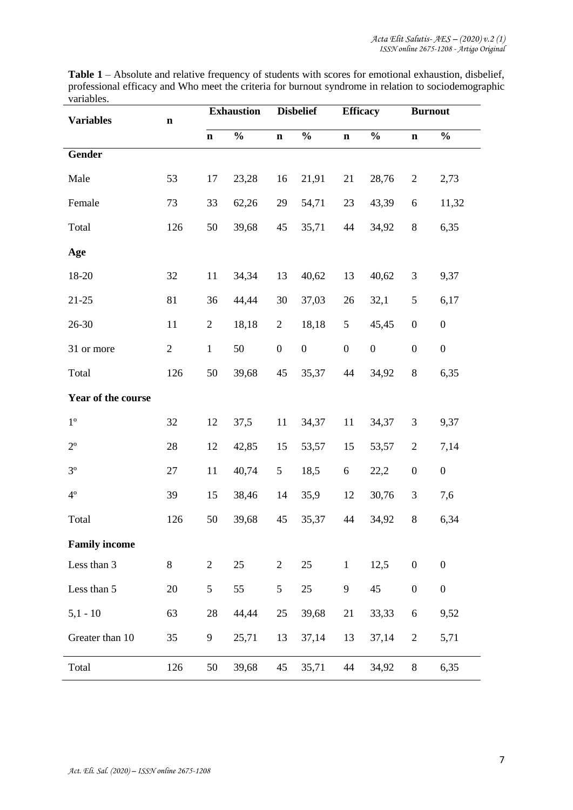| <b>Variables</b>     | $\mathbf n$    | <b>Exhaustion</b> |               | <b>Disbelief</b> |                  | <b>Efficacy</b>  |                  | <b>Burnout</b>   |                  |
|----------------------|----------------|-------------------|---------------|------------------|------------------|------------------|------------------|------------------|------------------|
|                      |                | $\mathbf n$       | $\frac{0}{0}$ | $\mathbf n$      | $\frac{0}{0}$    | $\mathbf n$      | $\frac{0}{0}$    | $\mathbf n$      | $\frac{0}{0}$    |
| Gender               |                |                   |               |                  |                  |                  |                  |                  |                  |
| Male                 | 53             | 17                | 23,28         | 16               | 21,91            | 21               | 28,76            | $\overline{c}$   | 2,73             |
| Female               | 73             | 33                | 62,26         | 29               | 54,71            | 23               | 43,39            | 6                | 11,32            |
| Total                | 126            | 50                | 39,68         | 45               | 35,71            | 44               | 34,92            | $8\,$            | 6,35             |
| Age                  |                |                   |               |                  |                  |                  |                  |                  |                  |
| 18-20                | 32             | 11                | 34,34         | 13               | 40,62            | 13               | 40,62            | 3                | 9,37             |
| $21 - 25$            | 81             | 36                | 44,44         | 30               | 37,03            | 26               | 32,1             | $\mathfrak s$    | 6,17             |
| 26-30                | 11             | $\overline{2}$    | 18,18         | 2                | 18,18            | 5                | 45,45            | $\boldsymbol{0}$ | $\boldsymbol{0}$ |
| 31 or more           | $\overline{2}$ | $\mathbf{1}$      | 50            | $\boldsymbol{0}$ | $\boldsymbol{0}$ | $\boldsymbol{0}$ | $\boldsymbol{0}$ | $\boldsymbol{0}$ | $\boldsymbol{0}$ |
| Total                | 126            | 50                | 39,68         | 45               | 35,37            | 44               | 34,92            | $8\,$            | 6,35             |
| Year of the course   |                |                   |               |                  |                  |                  |                  |                  |                  |
| $1^{\rm o}$          | 32             | 12                | 37,5          | 11               | 34,37            | 11               | 34,37            | 3                | 9,37             |
| $2^{\circ}$          | 28             | 12                | 42,85         | 15               | 53,57            | 15               | 53,57            | $\mathbf{2}$     | 7,14             |
| $3^{\circ}$          | 27             | 11                | 40,74         | $5\phantom{.0}$  | 18,5             | 6                | 22,2             | $\boldsymbol{0}$ | $\boldsymbol{0}$ |
| $4^{\circ}$          | 39             | 15                | 38,46         | 14               | 35,9             | 12               | 30,76            | 3                | 7,6              |
| Total                | 126            | 50                | 39,68         | 45               | 35,37            | 44               | 34,92            | $8\,$            | 6,34             |
| <b>Family income</b> |                |                   |               |                  |                  |                  |                  |                  |                  |
| Less than 3          | 8              | $\mathbf{2}$      | 25            | $\mathbf{2}$     | 25               | $\mathbf{1}$     | 12,5             | $\boldsymbol{0}$ | $\boldsymbol{0}$ |
| Less than 5          | 20             | 5                 | 55            | 5                | 25               | 9                | 45               | $\boldsymbol{0}$ | $\boldsymbol{0}$ |
| $5,1 - 10$           | 63             | 28                | 44,44         | 25               | 39,68            | 21               | 33,33            | 6                | 9,52             |
| Greater than 10      | 35             | 9                 | 25,71         | 13               | 37,14            | 13               | 37,14            | $\mathbf{2}$     | 5,71             |
| Total                | 126            | 50                | 39,68         | 45               | 35,71            | 44               | 34,92            | 8                | 6,35             |

**Table 1** – Absolute and relative frequency of students with scores for emotional exhaustion, disbelief, professional efficacy and Who meet the criteria for burnout syndrome in relation to sociodemographic variables.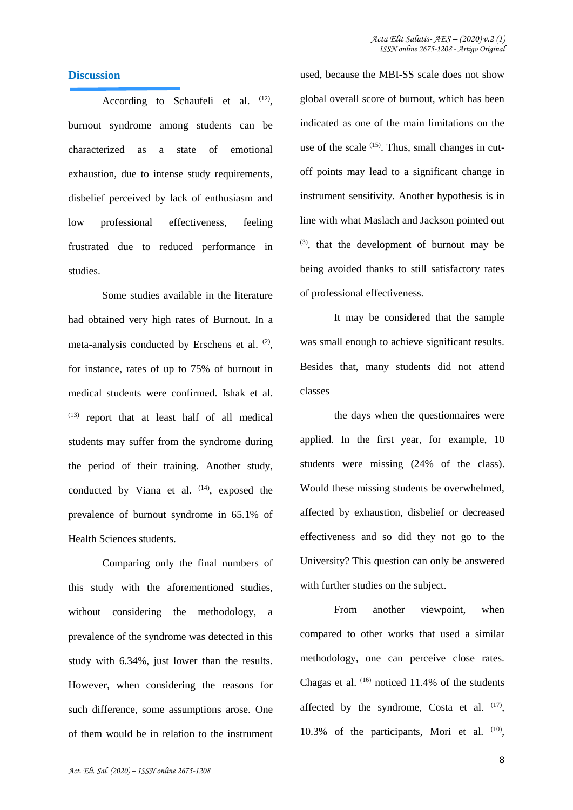## **Discussion**

According to Schaufeli et al. (12), burnout syndrome among students can be characterized as a state of emotional exhaustion, due to intense study requirements, disbelief perceived by lack of enthusiasm and low professional effectiveness, feeling frustrated due to reduced performance in studies.

Some studies available in the literature had obtained very high rates of Burnout. In a meta-analysis conducted by Erschens et al. (2), for instance, rates of up to 75% of burnout in medical students were confirmed. Ishak et al.  $(13)$  report that at least half of all medical students may suffer from the syndrome during the period of their training. Another study, conducted by Viana et al.  $(14)$ , exposed the prevalence of burnout syndrome in 65.1% of Health Sciences students.

Comparing only the final numbers of this study with the aforementioned studies, without considering the methodology, a prevalence of the syndrome was detected in this study with 6.34%, just lower than the results. However, when considering the reasons for such difference, some assumptions arose. One of them would be in relation to the instrument used, because the MBI-SS scale does not show global overall score of burnout, which has been indicated as one of the main limitations on the use of the scale  $(15)$ . Thus, small changes in cutoff points may lead to a significant change in instrument sensitivity. Another hypothesis is in line with what Maslach and Jackson pointed out (3), that the development of burnout may be being avoided thanks to still satisfactory rates of professional effectiveness.

It may be considered that the sample was small enough to achieve significant results. Besides that, many students did not attend classes

the days when the questionnaires were applied. In the first year, for example, 10 students were missing (24% of the class). Would these missing students be overwhelmed, affected by exhaustion, disbelief or decreased effectiveness and so did they not go to the University? This question can only be answered with further studies on the subject.

From another viewpoint, when compared to other works that used a similar methodology, one can perceive close rates. Chagas et al. (16) noticed 11.4% of the students affected by the syndrome, Costa et al.  $(17)$ , 10.3% of the participants, Mori et al. (10),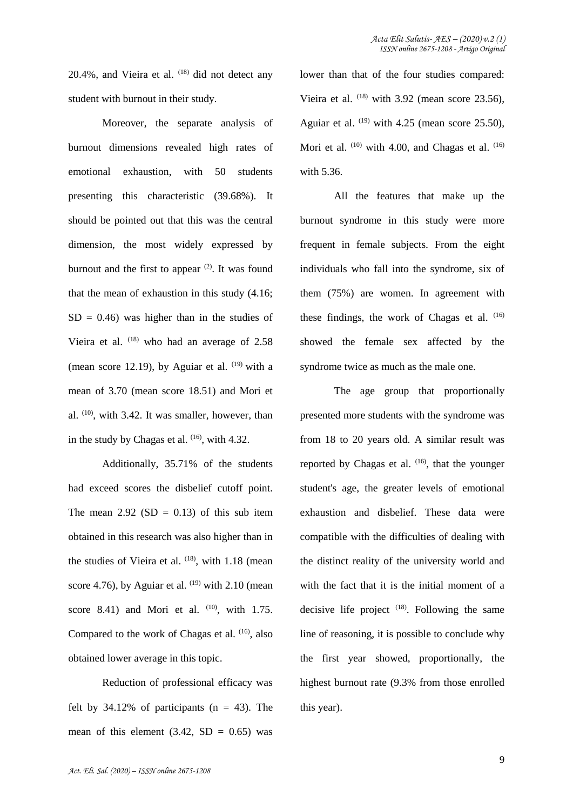$20.4\%$ , and Vieira et al.  $(18)$  did not detect any student with burnout in their study.

Moreover, the separate analysis of burnout dimensions revealed high rates of emotional exhaustion, with 50 students presenting this characteristic (39.68%). It should be pointed out that this was the central dimension, the most widely expressed by burnout and the first to appear  $(2)$ . It was found that the mean of exhaustion in this study (4.16;  $SD = 0.46$ ) was higher than in the studies of Vieira et al. (18) who had an average of 2.58 (mean score 12.19), by Aguiar et al.  $(19)$  with a mean of 3.70 (mean score 18.51) and Mori et al. (10), with 3.42. It was smaller, however, than in the study by Chagas et al.  $(16)$ , with 4.32.

Additionally, 35.71% of the students had exceed scores the disbelief cutoff point. The mean  $2.92$  (SD = 0.13) of this sub item obtained in this research was also higher than in the studies of Vieira et al.  $(18)$ , with 1.18 (mean score 4.76), by Aguiar et al.  $(19)$  with 2.10 (mean score 8.41) and Mori et al.  $(10)$ , with 1.75. Compared to the work of Chagas et al. <sup>(16)</sup>, also obtained lower average in this topic.

Reduction of professional efficacy was felt by  $34.12\%$  of participants (n = 43). The mean of this element  $(3.42, SD = 0.65)$  was lower than that of the four studies compared: Vieira et al.  $(18)$  with 3.92 (mean score 23.56), Aguiar et al.  $(19)$  with 4.25 (mean score 25.50), Mori et al.  $(10)$  with 4.00, and Chagas et al.  $(16)$ with 5.36.

All the features that make up the burnout syndrome in this study were more frequent in female subjects. From the eight individuals who fall into the syndrome, six of them (75%) are women. In agreement with these findings, the work of Chagas et al.  $(16)$ showed the female sex affected by the syndrome twice as much as the male one.

The age group that proportionally presented more students with the syndrome was from 18 to 20 years old. A similar result was reported by Chagas et al.  $(16)$ , that the younger student's age, the greater levels of emotional exhaustion and disbelief. These data were compatible with the difficulties of dealing with the distinct reality of the university world and with the fact that it is the initial moment of a decisive life project  $(18)$ . Following the same line of reasoning, it is possible to conclude why the first year showed, proportionally, the highest burnout rate (9.3% from those enrolled this year).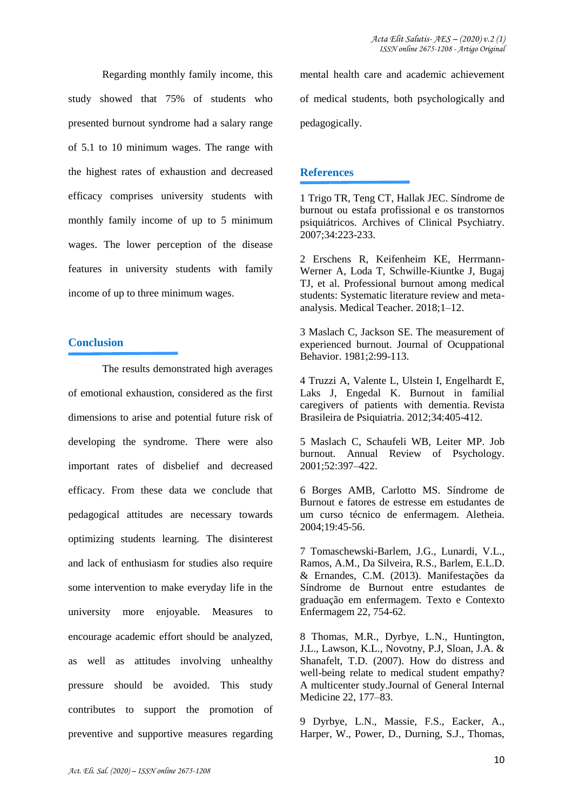Regarding monthly family income, this study showed that 75% of students who presented burnout syndrome had a salary range of 5.1 to 10 minimum wages. The range with the highest rates of exhaustion and decreased efficacy comprises university students with monthly family income of up to 5 minimum wages. The lower perception of the disease features in university students with family income of up to three minimum wages.

# **Conclusion**

The results demonstrated high averages of emotional exhaustion, considered as the first dimensions to arise and potential future risk of developing the syndrome. There were also important rates of disbelief and decreased efficacy. From these data we conclude that pedagogical attitudes are necessary towards optimizing students learning. The disinterest and lack of enthusiasm for studies also require some intervention to make everyday life in the university more enjoyable. Measures to encourage academic effort should be analyzed, as well as attitudes involving unhealthy pressure should be avoided. This study contributes to support the promotion of preventive and supportive measures regarding mental health care and academic achievement of medical students, both psychologically and pedagogically.

# **References**

1 Trigo TR, Teng CT, Hallak JEC. Síndrome de burnout ou estafa profissional e os transtornos psiquiátricos. Archives of Clinical Psychiatry. 2007;34:223-233.

2 Erschens R, Keifenheim KE, Herrmann-Werner A, Loda T, Schwille-Kiuntke J, Bugaj TJ, et al. Professional burnout among medical students: Systematic literature review and metaanalysis. Medical Teacher. 2018;1–12.

3 Maslach C, Jackson SE. The measurement of experienced burnout. Journal of Ocuppational Behavior. 1981;2:99-113.

4 Truzzi A, Valente L, Ulstein I, Engelhardt E, Laks J, Engedal K. Burnout in familial caregivers of patients with dementia. Revista Brasileira de Psiquiatria. 2012;34:405-412.

5 Maslach C, Schaufeli WB, Leiter MP. Job burnout. Annual Review of Psychology. 2001;52:397–422.

6 Borges AMB, Carlotto MS. Síndrome de Burnout e fatores de estresse em estudantes de um curso técnico de enfermagem. Aletheia. 2004;19:45-56.

7 Tomaschewski-Barlem, J.G., Lunardi, V.L., Ramos, A.M., Da Silveira, R.S., Barlem, E.L.D. & Ernandes, C.M. (2013). Manifestações da Síndrome de Burnout entre estudantes de graduação em enfermagem. Texto e Contexto Enfermagem 22, 754-62.

8 Thomas, M.R., Dyrbye, L.N., Huntington, J.L., Lawson, K.L., Novotny, P.J, Sloan, J.A. & Shanafelt, T.D. (2007). How do distress and well-being relate to medical student empathy? A multicenter study.Journal of General Internal Medicine 22, 177–83.

9 Dyrbye, L.N., Massie, F.S., Eacker, A., Harper, W., Power, D., Durning, S.J., Thomas,